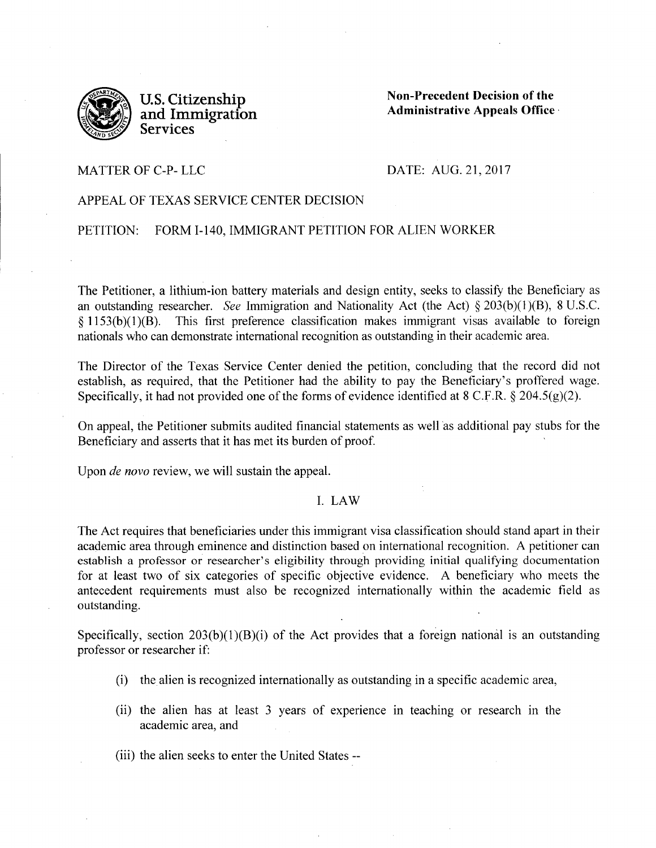

**U.S. Citizenship and Immigration Services** 

**Non-Precedent Decision of the Administrative Appeals Office** ·

### MATTER OF C-P- LLC

#### DATE: AUG. 21,2017

# APPEAL OF TEXAS SERVICE CENTER DECISION

# PETITION: FORM I-140, IMMIGRANT PETITION FOR ALIEN WORKER

The Petitioner, a lithium-ion battery materials and design entity, seeks to classify the Beneficiary as an outstanding researcher. *See* Immigration and Nationality Act (the Act) § 203(b)(l )(B), 8 U.S.C.  $§$  1153(b)(1)(B). This first preference classification makes immigrant visas available to foreign nationals who can demonstrate international recognition as outstanding in their academic area.

The Director of the Texas Service Center denied the petition, concluding that the record did not establish, as required, that the Petitioner had the ability to pay the Beneficiary's proffered wage. Specifically, it had not provided one of the forms of evidence identified at 8 C.F.R. § 204.5(g)(2).

On appeal, the Petitioner submits audited financial statements as well as additional pay stubs for the Beneficiary and asserts that it has met its burden of proof.

Upon *de novo* review, we will sustain the appeal.

# I. LAW

The Act requires that beneficiaries under this immigrant visa classification should stand apart in their academic area through eminence and distinction based on international recognition. A petitioner can establish a professor or researcher's eligibility through providing initial qualifying documentation for at least two of six categories of specific objective evidence. A beneficiary who meets the antecedent requirements must also be recognized internationally within the academic field as outstanding.

Specifically, section  $203(b)(1)(B)(i)$  of the Act provides that a foreign national is an outstanding professor or researcher if:

- (i) the alien is recognized internationally as outstanding in a specific academic area,
- (ii) the alien has at least 3 years of experience in teaching or research in the academic area, and
- (iii) the alien seeks to enter the United States --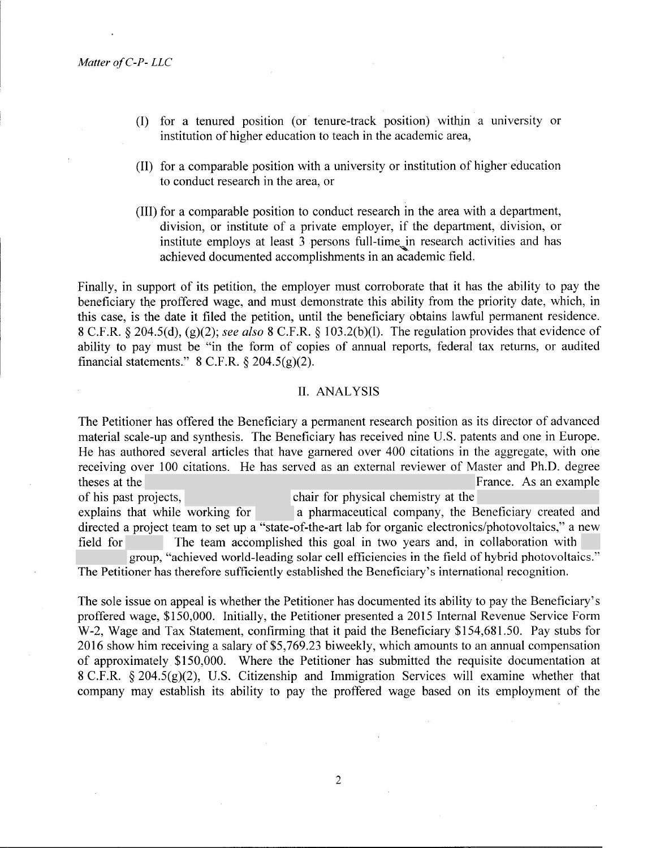.

- (I) for a tenured position (or tenure-track position) with\_in a university or institution of higher education to teach in the academic area,
- (II) for a comparable position with a university or institution of higher education to conduct research in the area, or
- (III) for a comparable position to conduct research in the area with a department, division, or institute of a private employer, if the department, division, or institute employs at least 3 persons full-time in research activities and has achieved documented accomplishments in an academic field.

Finally, in support of its petition, the employer must corroborate that it has the ability to pay the beneficiary *the* proffered wage, and must demonstrate this ability from the priority date, which, in this case, is the date it filed the petition, until the beneficiary obtains lawful permanent residence. 8 C.F .R. § 204.5( d), (g)(2); *see also* 8 C.F .R. § 103 .2(b )(l). The regulation provides that evidence of ability to pay must be "in the form of copies of annual reports, federal tax returns, or audited financial statements."  $8$  C.F.R.  $\S$  204.5(g)(2).

# II. ANALYSIS

The Petitioner has offered the Beneficiary a permanent research position as its director of advanced material scale-up and synthesis. The Beneficiary has received nine U.S. patents and one in Europe. He has authored several articles that have garnered over 400 citations in the aggregate, with one receiving over 100 citations. He has served as an external reviewer of Master and Ph.D. degree theses at the France. As an example theses at the France. As an example of his past projects, chair for physical chemistry at the explains that while working for a pharmaceutical company, the Beneficiary created and directed a project team to set up a "state-of-the-art lab for organic electronics/photovoltaics," a new field for The team accomplished this goal in two years and, in collaboration with group, "achieved world-leading solar cell efficiencies in the field of hybrid photovoltaics." The Petitioner has therefore sufficiently established the Beneficiary's international recognition.

The sole issue on appeal is whether the Petitioner has documented its ability to pay the Beneficiary's proffered wage, \$150,000. Initially, the Petitioner presented a 2015 Internal Revenue Service Form W-2, Wage and Tax Statement, confirming that it paid the Beneficiary \$154,681.50. Pay stubs for 2016 show him receiving a salary of \$5,769.23 biweekly, which amounts to an annual compensation of approximately \$150,000. Where the Petitioner has submitted the requisite documentation at 8 C.F.R. § 204.5(g)(2), U.S. Citizenship and Immigration Services will examine whether that company may establish its ability to pay the proffered wage based on its employment of the

2